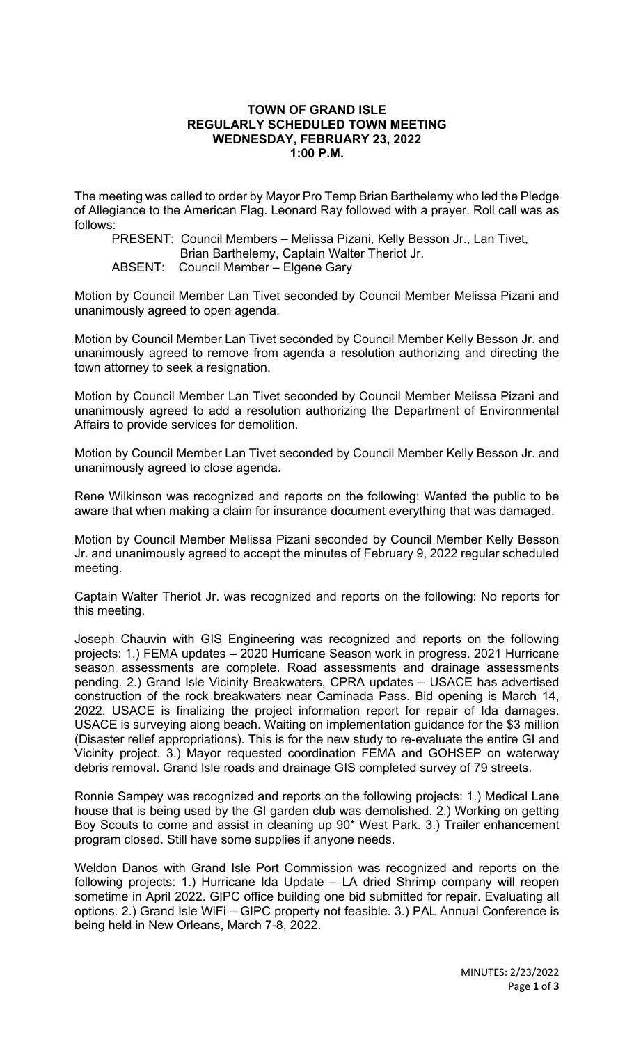## **TOWN OF GRAND ISLE REGULARLY SCHEDULED TOWN MEETING WEDNESDAY, FEBRUARY 23, 2022 1:00 P.M.**

The meeting was called to order by Mayor Pro Temp Brian Barthelemy who led the Pledge of Allegiance to the American Flag. Leonard Ray followed with a prayer. Roll call was as follows:

PRESENT: Council Members – Melissa Pizani, Kelly Besson Jr., Lan Tivet, Brian Barthelemy, Captain Walter Theriot Jr. ABSENT: Council Member – Elgene Gary

Motion by Council Member Lan Tivet seconded by Council Member Melissa Pizani and unanimously agreed to open agenda.

Motion by Council Member Lan Tivet seconded by Council Member Kelly Besson Jr. and unanimously agreed to remove from agenda a resolution authorizing and directing the town attorney to seek a resignation.

Motion by Council Member Lan Tivet seconded by Council Member Melissa Pizani and unanimously agreed to add a resolution authorizing the Department of Environmental Affairs to provide services for demolition.

Motion by Council Member Lan Tivet seconded by Council Member Kelly Besson Jr. and unanimously agreed to close agenda.

Rene Wilkinson was recognized and reports on the following: Wanted the public to be aware that when making a claim for insurance document everything that was damaged.

Motion by Council Member Melissa Pizani seconded by Council Member Kelly Besson Jr. and unanimously agreed to accept the minutes of February 9, 2022 regular scheduled meeting.

Captain Walter Theriot Jr. was recognized and reports on the following: No reports for this meeting.

Joseph Chauvin with GIS Engineering was recognized and reports on the following projects: 1.) FEMA updates – 2020 Hurricane Season work in progress. 2021 Hurricane season assessments are complete. Road assessments and drainage assessments pending. 2.) Grand Isle Vicinity Breakwaters, CPRA updates – USACE has advertised construction of the rock breakwaters near Caminada Pass. Bid opening is March 14, 2022. USACE is finalizing the project information report for repair of Ida damages. USACE is surveying along beach. Waiting on implementation guidance for the \$3 million (Disaster relief appropriations). This is for the new study to re-evaluate the entire GI and Vicinity project. 3.) Mayor requested coordination FEMA and GOHSEP on waterway debris removal. Grand Isle roads and drainage GIS completed survey of 79 streets.

Ronnie Sampey was recognized and reports on the following projects: 1.) Medical Lane house that is being used by the GI garden club was demolished. 2.) Working on getting Boy Scouts to come and assist in cleaning up 90\* West Park. 3.) Trailer enhancement program closed. Still have some supplies if anyone needs.

Weldon Danos with Grand Isle Port Commission was recognized and reports on the following projects: 1.) Hurricane Ida Update – LA dried Shrimp company will reopen sometime in April 2022. GIPC office building one bid submitted for repair. Evaluating all options. 2.) Grand Isle WiFi – GIPC property not feasible. 3.) PAL Annual Conference is being held in New Orleans, March 7-8, 2022.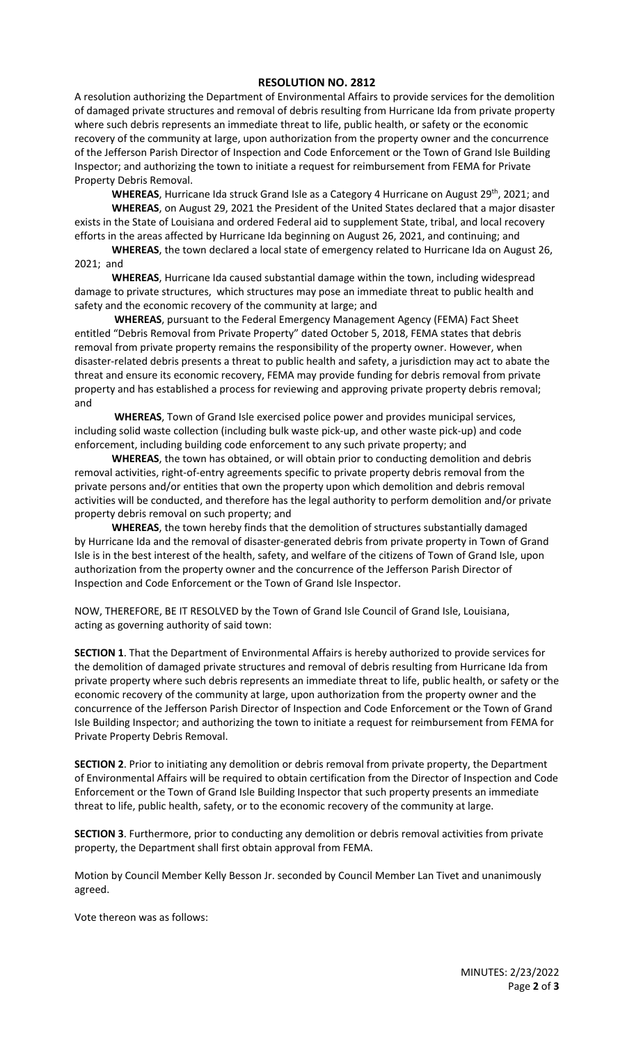## **RESOLUTION NO. 2812**

A resolution authorizing the Department of Environmental Affairs to provide services for the demolition of damaged private structures and removal of debris resulting from Hurricane Ida from private property where such debris represents an immediate threat to life, public health, or safety or the economic recovery of the community at large, upon authorization from the property owner and the concurrence of the Jefferson Parish Director of Inspection and Code Enforcement or the Town of Grand Isle Building Inspector; and authorizing the town to initiate a request for reimbursement from FEMA for Private Property Debris Removal.

**WHEREAS**, Hurricane Ida struck Grand Isle as a Category 4 Hurricane on August 29<sup>th</sup>, 2021; and **WHEREAS**, on August 29, 2021 the President of the United States declared that a major disaster exists in the State of Louisiana and ordered Federal aid to supplement State, tribal, and local recovery efforts in the areas affected by Hurricane Ida beginning on August 26, 2021, and continuing; and

**WHEREAS**, the town declared a local state of emergency related to Hurricane Ida on August 26, 2021; and

**WHEREAS**, Hurricane Ida caused substantial damage within the town, including widespread damage to private structures, which structures may pose an immediate threat to public health and safety and the economic recovery of the community at large; and

**WHEREAS**, pursuant to the Federal Emergency Management Agency (FEMA) Fact Sheet entitled "Debris Removal from Private Property" dated October 5, 2018, FEMA states that debris removal from private property remains the responsibility of the property owner. However, when disaster-related debris presents a threat to public health and safety, a jurisdiction may act to abate the threat and ensure its economic recovery, FEMA may provide funding for debris removal from private property and has established a process for reviewing and approving private property debris removal; and

**WHEREAS**, Town of Grand Isle exercised police power and provides municipal services, including solid waste collection (including bulk waste pick-up, and other waste pick-up) and code enforcement, including building code enforcement to any such private property; and

**WHEREAS**, the town has obtained, or will obtain prior to conducting demolition and debris removal activities, right-of-entry agreements specific to private property debris removal from the private persons and/or entities that own the property upon which demolition and debris removal activities will be conducted, and therefore has the legal authority to perform demolition and/or private property debris removal on such property; and

**WHEREAS**, the town hereby finds that the demolition of structures substantially damaged by Hurricane Ida and the removal of disaster-generated debris from private property in Town of Grand Isle is in the best interest of the health, safety, and welfare of the citizens of Town of Grand Isle, upon authorization from the property owner and the concurrence of the Jefferson Parish Director of Inspection and Code Enforcement or the Town of Grand Isle Inspector.

NOW, THEREFORE, BE IT RESOLVED by the Town of Grand Isle Council of Grand Isle, Louisiana, acting as governing authority of said town:

**SECTION 1**. That the Department of Environmental Affairs is hereby authorized to provide services for the demolition of damaged private structures and removal of debris resulting from Hurricane Ida from private property where such debris represents an immediate threat to life, public health, or safety or the economic recovery of the community at large, upon authorization from the property owner and the concurrence of the Jefferson Parish Director of Inspection and Code Enforcement or the Town of Grand Isle Building Inspector; and authorizing the town to initiate a request for reimbursement from FEMA for Private Property Debris Removal.

**SECTION 2**. Prior to initiating any demolition or debris removal from private property, the Department of Environmental Affairs will be required to obtain certification from the Director of Inspection and Code Enforcement or the Town of Grand Isle Building Inspector that such property presents an immediate threat to life, public health, safety, or to the economic recovery of the community at large.

**SECTION 3**. Furthermore, prior to conducting any demolition or debris removal activities from private property, the Department shall first obtain approval from FEMA.

Motion by Council Member Kelly Besson Jr. seconded by Council Member Lan Tivet and unanimously agreed.

Vote thereon was as follows: